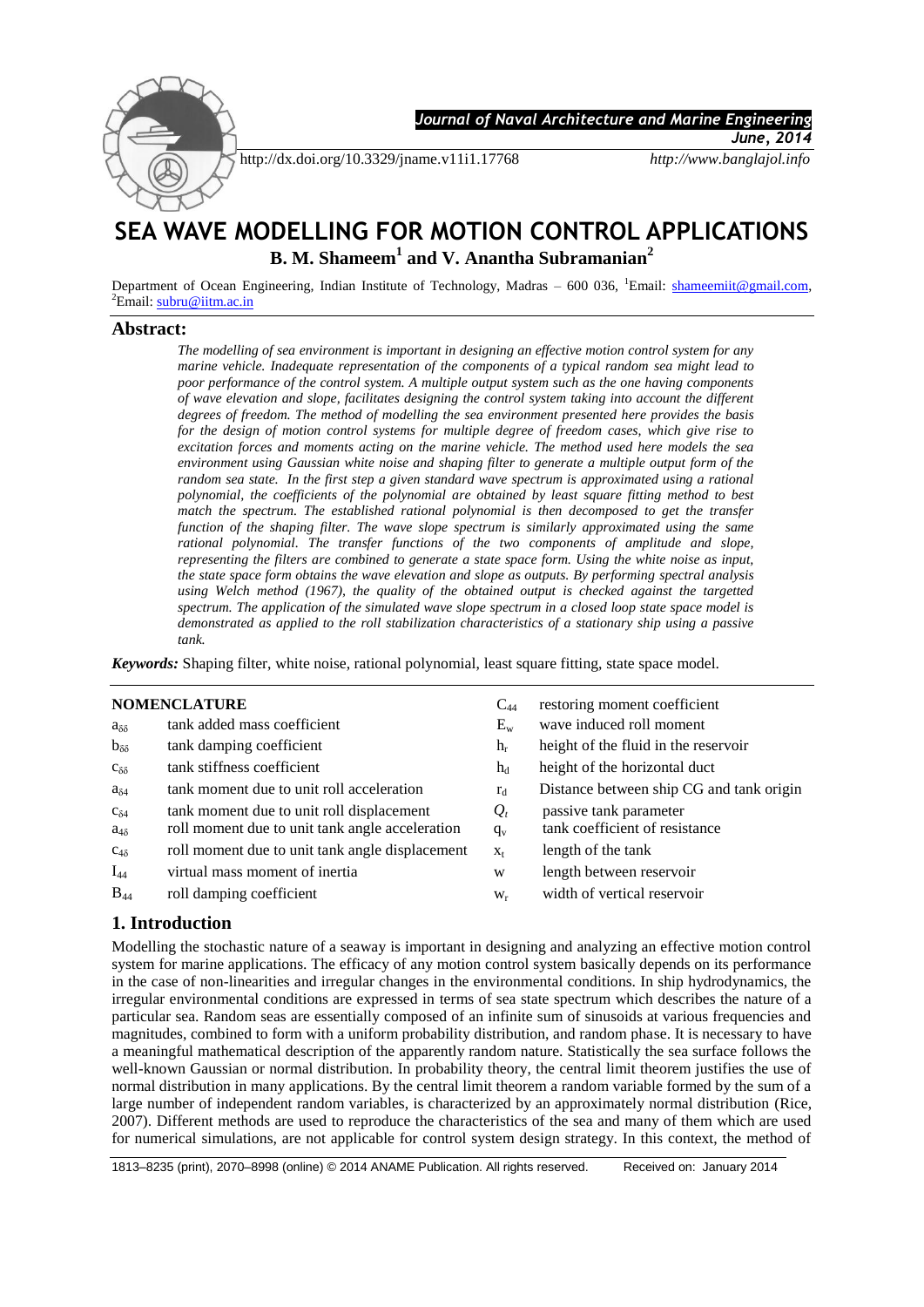

 *Journal of Naval Architecture and Marine Engineering* 

http://dx.doi.org/10.3329/jname.v11i1.17768 *http://www.banglajol.info*

*June, 2014*

# **SEA WAVE MODELLING FOR MOTION CONTROL APPLICATIONS B. M. Shameem<sup>1</sup> and V. Anantha Subramanian<sup>2</sup>**

Department of Ocean Engineering, Indian Institute of Technology, Madras - 600 036, <sup>1</sup>Email: **shameemiit@gmail.com**,  ${}^{2}$ Email: [subru@iitm.ac.in](mailto:subru@iitm.ac.in)

#### **Abstract:**

*The modelling of sea environment is important in designing an effective motion control system for any marine vehicle. Inadequate representation of the components of a typical random sea might lead to poor performance of the control system. A multiple output system such as the one having components of wave elevation and slope, facilitates designing the control system taking into account the different degrees of freedom. The method of modelling the sea environment presented here provides the basis for the design of motion control systems for multiple degree of freedom cases, which give rise to excitation forces and moments acting on the marine vehicle. The method used here models the sea environment using Gaussian white noise and shaping filter to generate a multiple output form of the random sea state. In the first step a given standard wave spectrum is approximated using a rational polynomial, the coefficients of the polynomial are obtained by least square fitting method to best match the spectrum. The established rational polynomial is then decomposed to get the transfer function of the shaping filter. The wave slope spectrum is similarly approximated using the same rational polynomial. The transfer functions of the two components of amplitude and slope, representing the filters are combined to generate a state space form. Using the white noise as input, the state space form obtains the wave elevation and slope as outputs. By performing spectral analysis using Welch method (1967), the quality of the obtained output is checked against the targetted spectrum. The application of the simulated wave slope spectrum in a closed loop state space model is demonstrated as applied to the roll stabilization characteristics of a stationary ship using a passive tank.*

*Keywords:* Shaping filter, white noise, rational polynomial, least square fitting, state space model.

## **NOMENCLATURE** C<sub>44</sub> restoring moment coefficient

| $a_{\delta\delta}$ | tank added mass coefficient                     | $\rm E_{w}$ | wave induced roll moment                 |
|--------------------|-------------------------------------------------|-------------|------------------------------------------|
| $b_{\delta\delta}$ | tank damping coefficient                        | $h_r$       | height of the fluid in the reservoir     |
| $c_{\delta\delta}$ | tank stiffness coefficient                      | $h_d$       | height of the horizontal duct            |
| $a_{\delta 4}$     | tank moment due to unit roll acceleration       | $r_d$       | Distance between ship CG and tank origin |
| $C_{\delta 4}$     | tank moment due to unit roll displacement       | $Q_t$       | passive tank parameter                   |
| $a_{4\delta}$      | roll moment due to unit tank angle acceleration | $q_v$       | tank coefficient of resistance           |
| $C_{4\delta}$      | roll moment due to unit tank angle displacement | $X_t$       | length of the tank                       |
| $I_{44}$           | virtual mass moment of inertia                  | W           | length between reservoir                 |
| $B_{44}$           | roll damping coefficient                        | $W_r$       | width of vertical reservoir              |
|                    |                                                 |             |                                          |

#### **1. Introduction**

Modelling the stochastic nature of a seaway is important in designing and analyzing an effective motion control system for marine applications. The efficacy of any motion control system basically depends on its performance in the case of non-linearities and irregular changes in the environmental conditions. In ship hydrodynamics, the irregular environmental conditions are expressed in terms of sea state spectrum which describes the nature of a particular sea. Random seas are essentially composed of an infinite sum of sinusoids at various frequencies and magnitudes, combined to form with a uniform probability distribution, and random phase. It is necessary to have a meaningful mathematical description of the apparently random nature. Statistically the sea surface follows the well-known Gaussian or normal distribution. In probability theory, the central limit theorem justifies the use of normal distribution in many applications. By the central limit theorem a random variable formed by the sum of a large number of independent random variables, is characterized by an approximately normal distribution (Rice, 2007). Different methods are used to reproduce the characteristics of the sea and many of them which are used for numerical simulations, are not applicable for control system design strategy. In this context, the method of

1813–8235 (print), 2070–8998 (online) © 2014 ANAME Publication. All rights reserved. Received on: January 2014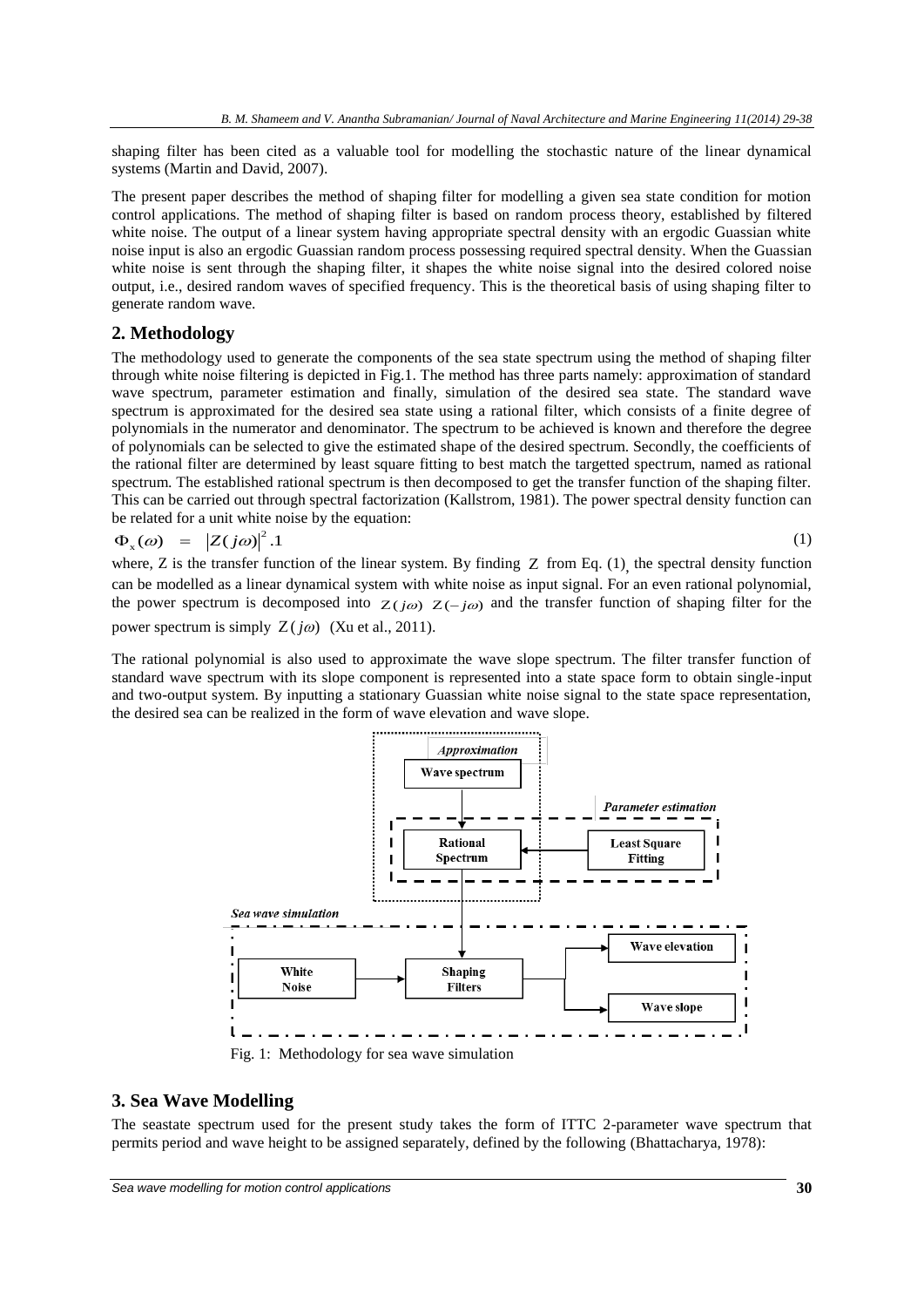shaping filter has been cited as a valuable tool for modelling the stochastic nature of the linear dynamical systems (Martin and David, 2007).

The present paper describes the method of shaping filter for modelling a given sea state condition for motion control applications. The method of shaping filter is based on random process theory, established by filtered white noise. The output of a linear system having appropriate spectral density with an ergodic Guassian white noise input is also an ergodic Guassian random process possessing required spectral density. When the Guassian white noise is sent through the shaping filter, it shapes the white noise signal into the desired colored noise output, i.e., desired random waves of specified frequency. This is the theoretical basis of using shaping filter to generate random wave.

#### **2. Methodology**

The methodology used to generate the components of the sea state spectrum using the method of shaping filter through white noise filtering is depicted in Fig.1. The method has three parts namely: approximation of standard wave spectrum, parameter estimation and finally, simulation of the desired sea state. The standard wave spectrum is approximated for the desired sea state using a rational filter, which consists of a finite degree of polynomials in the numerator and denominator. The spectrum to be achieved is known and therefore the degree of polynomials can be selected to give the estimated shape of the desired spectrum. Secondly, the coefficients of the rational filter are determined by least square fitting to best match the targetted spectrum, named as rational spectrum. The established rational spectrum is then decomposed to get the transfer function of the shaping filter. This can be carried out through spectral factorization (Kallstrom, 1981). The power spectral density function can be related for a unit white noise by the equation:

$$
\Phi_x(\omega) = |Z(j\omega)|^2.1
$$
 (1)

where,  $Z$  is the transfer function of the linear system. By finding  $Z$  from Eq. (1), the spectral density function can be modelled as a linear dynamical system with white noise as input signal. For an even rational polynomial, the power spectrum is decomposed into  $Z(j\omega) Z(-j\omega)$  and the transfer function of shaping filter for the power spectrum is simply  $Z(j\omega)$  (Xu et al., 2011).

The rational polynomial is also used to approximate the wave slope spectrum. The filter transfer function of standard wave spectrum with its slope component is represented into a state space form to obtain single-input and two-output system. By inputting a stationary Guassian white noise signal to the state space representation, the desired sea can be realized in the form of wave elevation and wave slope.



Fig. 1: Methodology for sea wave simulation

#### **3. Sea Wave Modelling**

The seastate spectrum used for the present study takes the form of ITTC 2-parameter wave spectrum that permits period and wave height to be assigned separately, defined by the following (Bhattacharya, 1978):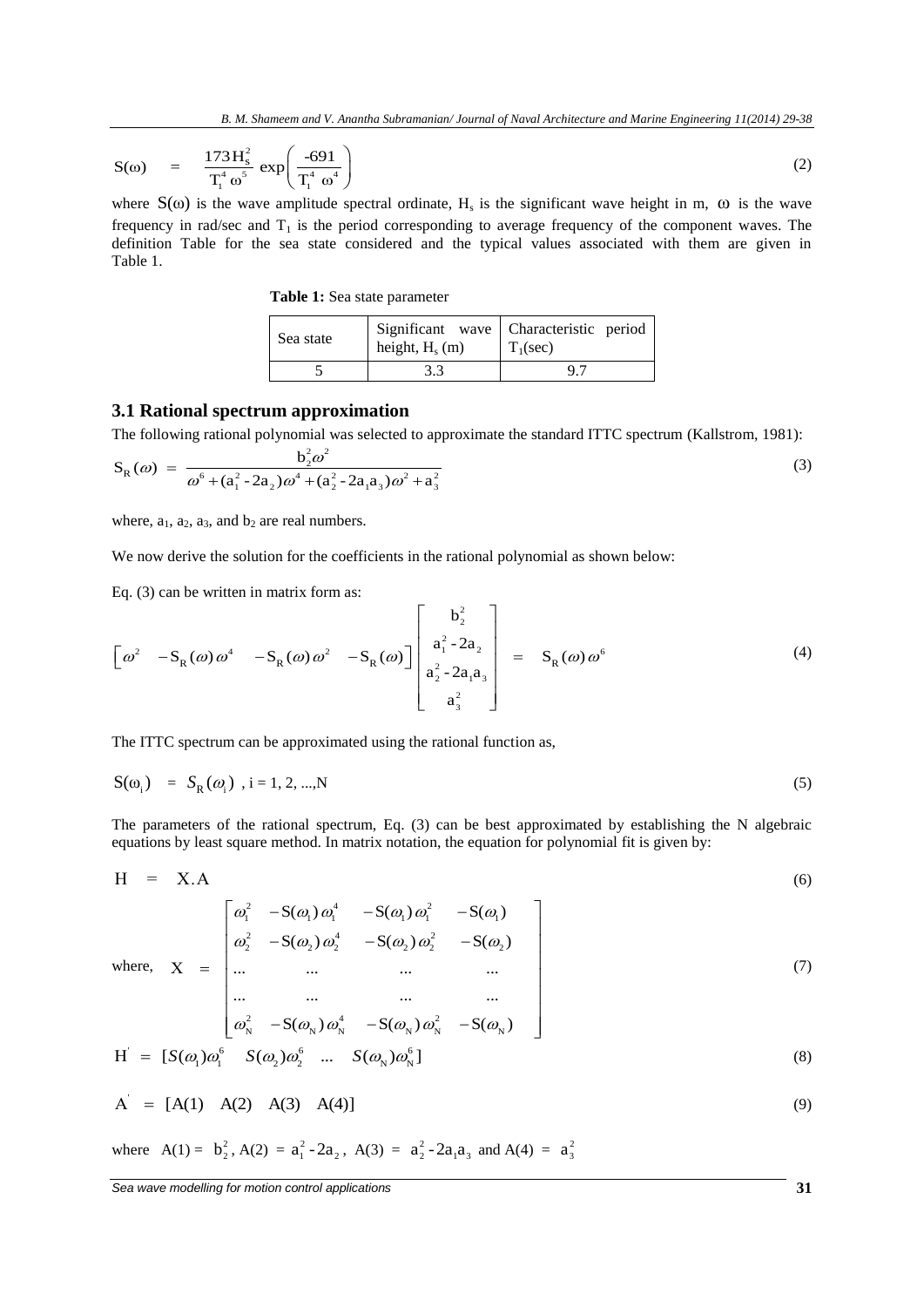$$
S(\omega) = \frac{173 \, \text{H}_s^2}{T_1^4 \, \omega^5} \, \exp\!\left(\frac{-691}{T_1^4 \, \omega^4}\right) \tag{2}
$$

<span id="page-2-0"></span>where  $S(\omega)$  is the wave amplitude spectral ordinate, H<sub>s</sub> is the significant wave height in m,  $\omega$  is the wave frequency in rad/sec and  $T_1$  is the period corresponding to average frequency of the component waves. The definition Table for the sea state considered and the typical values associated with them are given in [Table](#page-2-0) 1.

 **Table 1:** Sea state parameter

| Sea state | height, $H_s$ (m) | Significant wave Characteristic period<br>$\Gamma_1(\text{sec})$ |
|-----------|-------------------|------------------------------------------------------------------|
|           | 3.3               | 97                                                               |

#### **3.1 Rational spectrum approximation**

The following rational polynomial was selected to approximate the standard ITTC spectrum (Kallstrom, 1981):  
\n
$$
S_R(\omega) = \frac{b_2^2 \omega^2}{\omega^6 + (a_1^2 - 2a_2)\omega^4 + (a_2^2 - 2a_1a_3)\omega^2 + a_3^2}
$$
\n(3)

where,  $a_1$ ,  $a_2$ ,  $a_3$ , and  $b_2$  are real numbers.

Eq. (3) can be written in matrix form as:

We now derive the solution for the coefficients in the rational polynomial as shown below:  
\nEq. (3) can be written in matrix form as:  
\n
$$
\left[\omega^2 - S_R(\omega)\omega^4 - S_R(\omega)\omega^2 - S_R(\omega)\right] \begin{bmatrix} b_2^2 \\ a_1^2 - 2a_2 \\ a_2^2 - 2a_1a_3 \\ a_3^2 \end{bmatrix} = S_R(\omega)\omega^6
$$
\n(4)

The ITTC spectrum can be approximated using the rational function as,

$$
S(\omega_i) = S_R(\omega_i), i = 1, 2, ..., N
$$
 (5)

The parameters of the rational spectrum, Eq. (3) can be best approximated by establishing the N algebraic equations by least square method. In matrix notation, the equation for polynomial fit is given by:

$$
H = X.A
$$
 (6)

$$
H = X.A
$$
\n(6)  
\nwhere,  $X = \begin{bmatrix} \omega_1^2 & -S(\omega_1)\omega_1^4 & -S(\omega_1)\omega_1^2 & -S(\omega_1) \\ \omega_2^2 & -S(\omega_2)\omega_2^4 & -S(\omega_2)\omega_2^2 & -S(\omega_2) \\ \dots & \dots & \dots & \dots \end{bmatrix}$  (7)

where, 
$$
X =
$$
  $\begin{bmatrix} ... & ... & ... & ... \\ ... & ... & ... & ... \\ ... & ... & ... & ... \\ \omega_N^2 & -S(\omega_N) \omega_N^4 & -S(\omega_N) \omega_N^2 & -S(\omega_N) \end{bmatrix}$  (7)  
\n $H = [S(\omega_1) \omega_1^6 \quad S(\omega_2) \omega_2^6 \quad ... \quad S(\omega_N) \omega_N^6]$  (8)

$$
A' = [A(1) A(2) A(3) A(4)] \tag{9}
$$

where  $A(1) = b_2^2$  $b_2^2$ , A(2) =  $a_1^2$ -2 $a_2$ , A(3) =  $a_2^2$ -2 $a_1a_3$  and A(4) =  $a_3^2$  $a_3^2$ 

*Sea wave modelling for motion control applications* **31**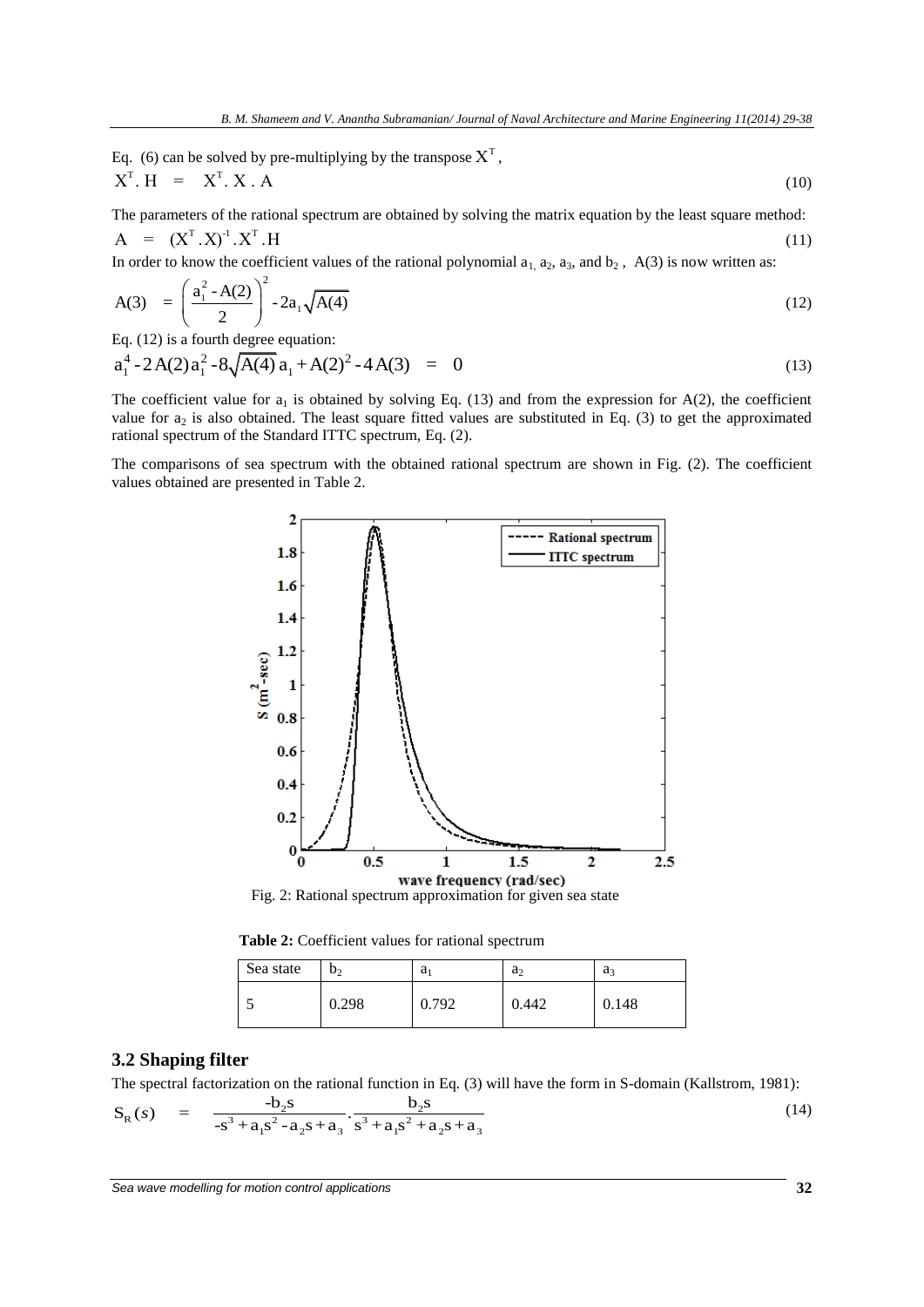Eq. (6) can be solved by pre-multiplying by the transpose  $X<sup>T</sup>$ ,  $X^T$  H =  $X^T$  X A (10)

The parameters of the rational spectrum are obtained by solving the matrix equation by the least square method:  $A = (X^T . X)^{-1} . X^T . H$ (11)

In order to know the coefficient values of the rational polynomial  $a_1$ ,  $a_2$ ,  $a_3$ , and  $b_2$ ,  $A(3)$  is now written as:

$$
A(3) = \left(\frac{a_1^2 - A(2)}{2}\right)^2 - 2a_1\sqrt{A(4)}
$$
\n(12)

Eq. (12) is a fourth degree equation:  
\n
$$
a_1^4 - 2A(2)a_1^2 - 8\sqrt{A(4)}a_1 + A(2)^2 - 4A(3) = 0
$$
\n(13)

The coefficient value for  $a_1$  is obtained by solving Eq. (13) and from the expression for  $A(2)$ , the coefficient value for  $a_2$  is also obtained. The least square fitted values are substituted in Eq. (3) to get the approximated rational spectrum of the Standard ITTC spectrum, Eq. (2).

The comparisons of sea spectrum with the obtained rational spectrum are shown in Fig. (2). The coefficient values obtained are presented in Table 2.



Fig. 2: Rational spectrum approximation for given sea state

 **Table 2:** Coefficient values for rational spectrum

| Sea state | b›<br>- | a <sub>i</sub> | $a_2$ | a     |
|-----------|---------|----------------|-------|-------|
| - 1       | 0.298   | 0.792          | 0.442 | 0.148 |

#### **3.2 Shaping filter**

**3.2 Shapping filter**  
The spectral factorization on the rational function in Eq. (3) will have the form in S-domain (Kallstrom, 1981):  

$$
S_R(s) = \frac{-b_2s}{-s^3 + a_1s^2 - a_2s + a_3} \cdot \frac{b_2s}{s^3 + a_1s^2 + a_2s + a_3}
$$
(14)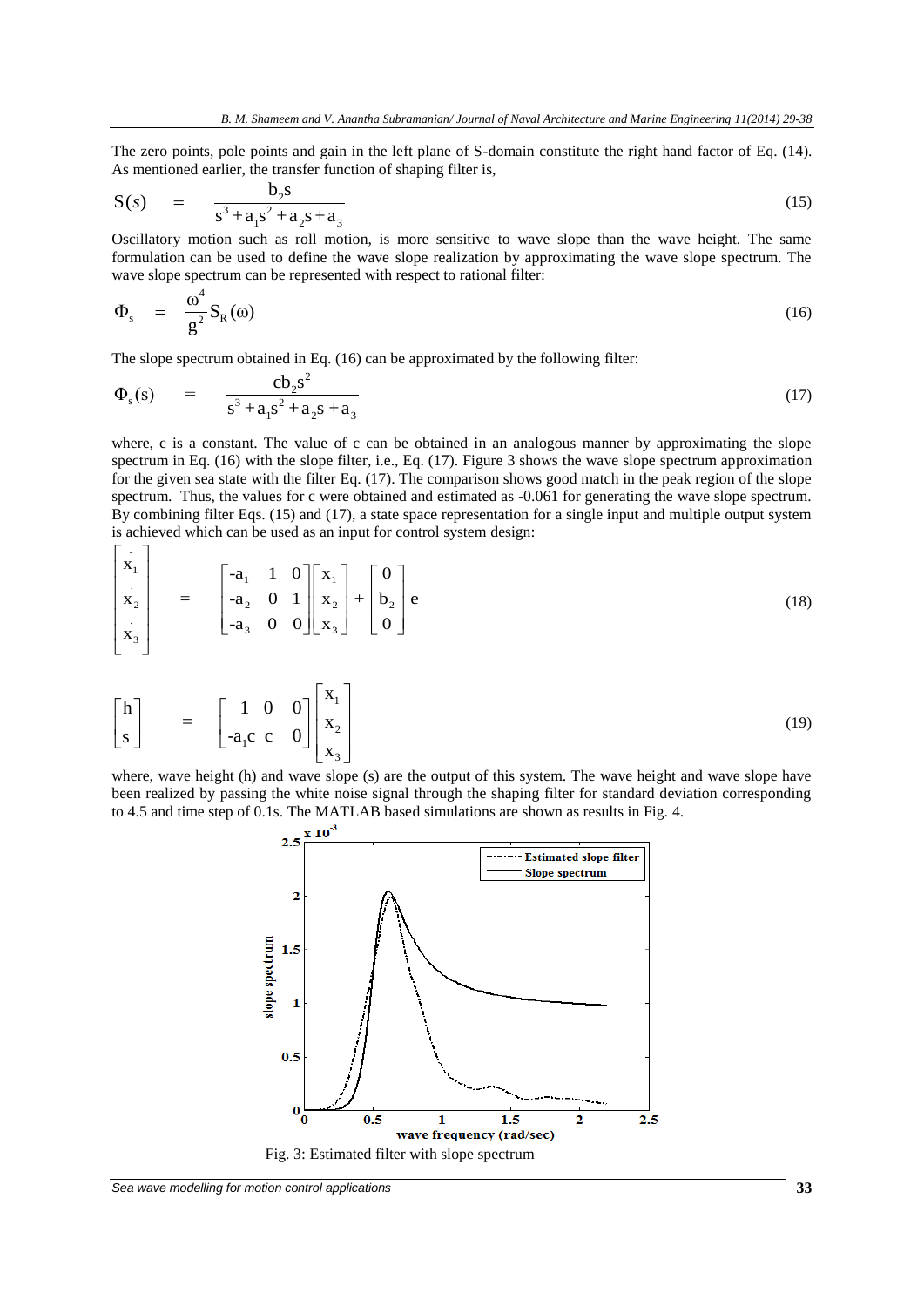The zero points, pole points and gain in the left plane of S-domain constitute the right hand factor of Eq. (14).

As mentioned earlier, the transfer function of shaping filter is,  
\n
$$
S(s) = \frac{b_2s}{s^3 + a_1s^2 + a_2s + a_3}
$$
\n(15)

Oscillatory motion such as roll motion, is more sensitive to wave slope than the wave height. The same formulation can be used to define the wave slope realization by approximating the wave slope spectrum. The wave slope spectrum can be represented with respect to rational filter:

$$
\Phi_{s} = \frac{\omega^{4}}{g^{2}} S_{R}(\omega) \tag{16}
$$

The slope spectrum obtained in Eq. (16) can be approximated by the following filter:  
\n
$$
\Phi_s(s) = \frac{\text{cb}_2 s^2}{s^3 + a_1 s^2 + a_2 s + a_3}
$$
\n(17)

where, c is a constant. The value of c can be obtained in an analogous manner by approximating the slope spectrum in Eq. (16) with the slope filter, i.e., Eq. (17). Figure 3 shows the wave slope spectrum approximation for the given sea state with the filter Eq. (17). The comparison shows good match in the peak region of the slope spectrum. Thus, the values for c were obtained and estimated as -0.061 for generating the wave slope spectrum. By combining filter Eqs. (15) and (17), a state space representation for a single input and multiple output system  $\begin{bmatrix} 1 \\ 2 \end{bmatrix}$  is achieved which can be used as an input for control system design:

$$
\begin{bmatrix}\nx_1 \\
x_2 \\
x_3\n\end{bmatrix} = \begin{bmatrix}\n-a_1 & 1 & 0 \\
-a_2 & 0 & 1 \\
-a_3 & 0 & 0\n\end{bmatrix} \begin{bmatrix}\nx_1 \\
x_2 \\
x_3\n\end{bmatrix} + \begin{bmatrix}\n0 \\
b_2 \\
0\n\end{bmatrix} e
$$
\n(18)

$$
\begin{bmatrix} h \\ s \end{bmatrix} = \begin{bmatrix} 1 & 0 & 0 \\ -a_1 c & c & 0 \end{bmatrix} \begin{bmatrix} x_1 \\ x_2 \\ x_3 \end{bmatrix}
$$
 (19)

where, wave height (h) and wave slope (s) are the output of this system. The wave height and wave slope have been realized by passing the white noise signal through the shaping filter for standard deviation corresponding to 4.5 and time step of 0.1s. The MATLAB based simulations are shown as results in Fig. 4.

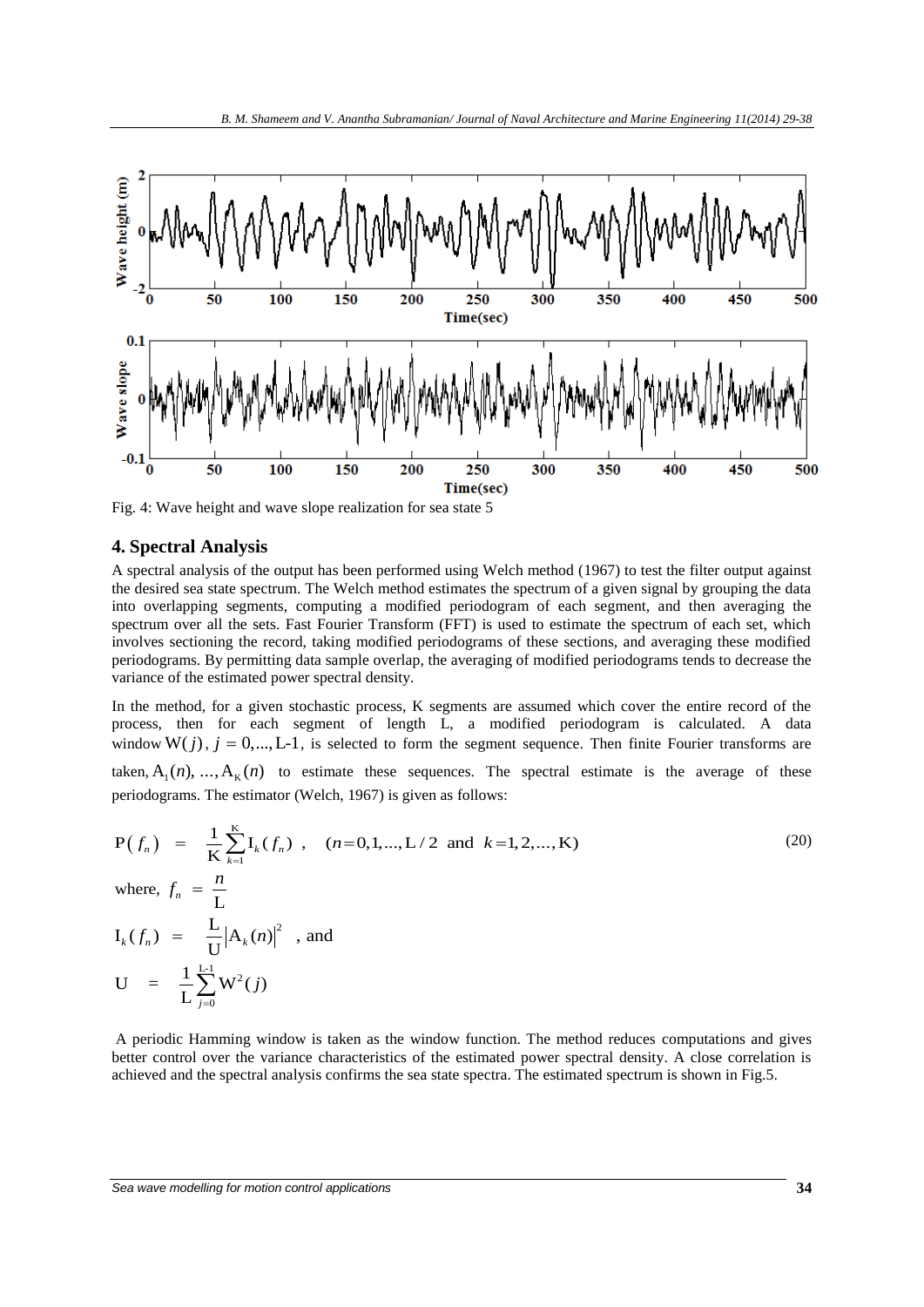

Fig. 4: Wave height and wave slope realization for sea state 5

#### **4. Spectral Analysis**

A spectral analysis of the output has been performed using Welch method (1967) to test the filter output against the desired sea state spectrum. The Welch method estimates the spectrum of a given signal by grouping the data into overlapping segments, computing a modified periodogram of each segment, and then averaging the spectrum over all the sets. Fast Fourier Transform (FFT) is used to estimate the spectrum of each set, which involves sectioning the record, taking modified periodograms of these sections, and averaging these modified periodograms. By permitting data sample overlap, the averaging of modified periodograms tends to decrease the variance of the estimated power spectral density.

In the method, for a given stochastic process, K segments are assumed which cover the entire record of the process, then for each segment of length L, a modified periodogram is calculated. A data window  $W(j)$ ,  $j = 0,..., L-1$ , is selected to form the segment sequence. Then finite Fourier transforms are taken,  $A_1(n), ..., A_k(n)$  to estimate these sequences. The spectral estimate is the average of these

periodograms. The estimator (Welch, 1967) is given as follows:  
\n
$$
P(f_n) = \frac{1}{K} \sum_{k=1}^{K} I_k(f_n) , \quad (n=0,1,...,L/2 \text{ and } k=1,2,...,K)
$$
\nwhere,  $f_n = \frac{n}{L}$  (20)

where,  $n - \overline{L}$ 

$$
I_k(f_n) = \frac{L}{U} |A_k(n)|^2
$$
, and  

$$
U = \frac{1}{L} \sum_{j=0}^{L-1} W^2(j)
$$

A periodic Hamming window is taken as the window function. The method reduces computations and gives better control over the variance characteristics of the estimated power spectral density. A close correlation is achieved and the spectral analysis confirms the sea state spectra. The estimated spectrum is shown in Fig.5.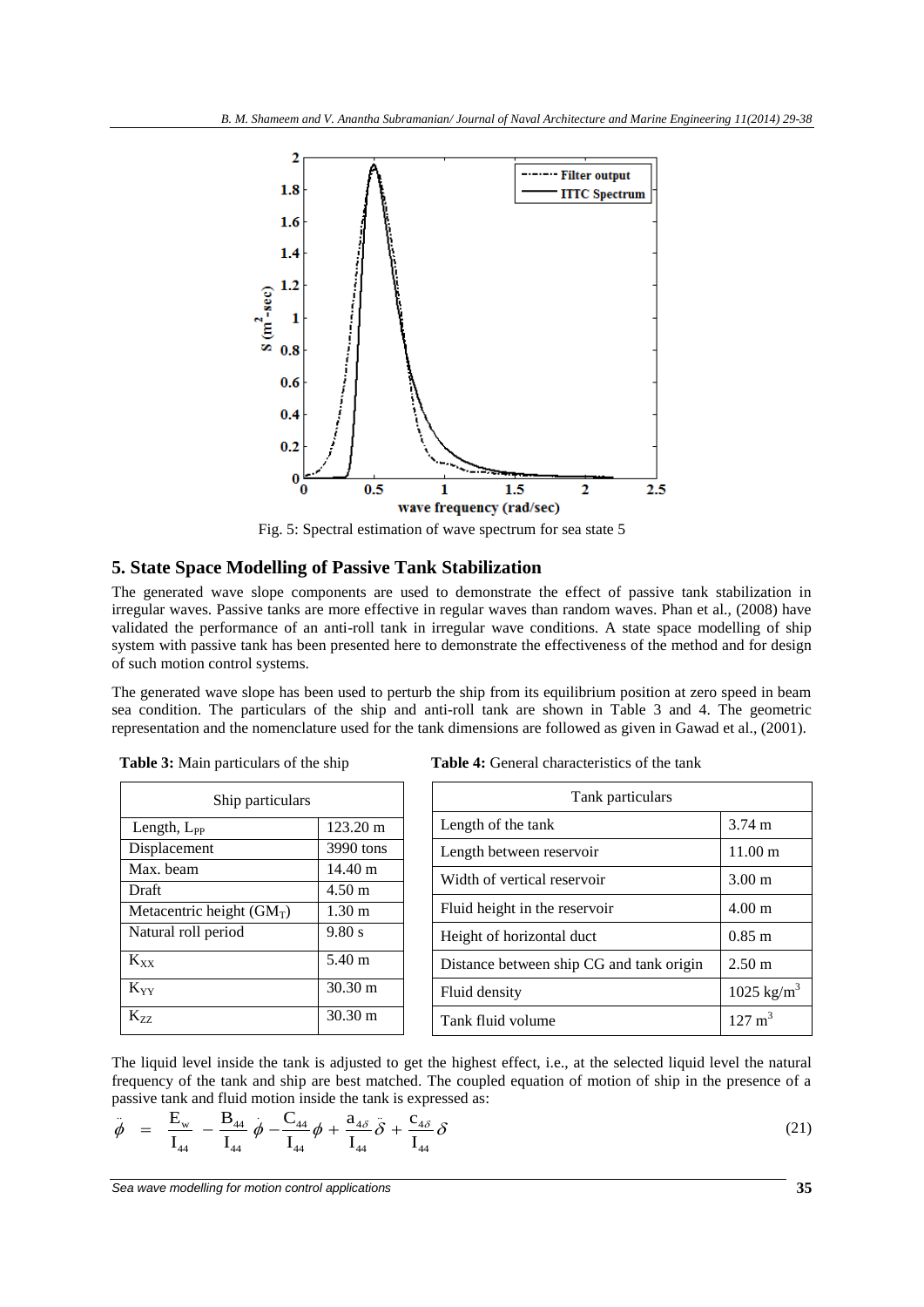

Fig. 5: Spectral estimation of wave spectrum for sea state 5

#### **5. State Space Modelling of Passive Tank Stabilization**

The generated wave slope components are used to demonstrate the effect of passive tank stabilization in irregular waves. Passive tanks are more effective in regular waves than random waves. Phan et al., (2008) have validated the performance of an anti-roll tank in irregular wave conditions. A state space modelling of ship system with passive tank has been presented here to demonstrate the effectiveness of the method and for design of such motion control systems.

The generated wave slope has been used to perturb the ship from its equilibrium position at zero speed in beam sea condition. The particulars of the ship and anti-roll tank are shown in Table 3 and 4. The geometric representation and the nomenclature used for the tank dimensions are followed as given in Gawad et al., (2001).

| Ship particulars            |                   |  |  |
|-----------------------------|-------------------|--|--|
| Length, $L_{PP}$            | 123.20 m          |  |  |
| Displacement                | 3990 tons         |  |  |
| Max. beam                   | $14.40 \text{ m}$ |  |  |
| Draft                       | $4.50 \text{ m}$  |  |  |
| Metacentric height $(GM_T)$ | $1.30 \text{ m}$  |  |  |
| Natural roll period         | 9.80 s            |  |  |
| $K_{XX}$                    | 5.40 m            |  |  |
| $K_{YY}$                    | $30.30 \text{ m}$ |  |  |
| $K_{77}$                    | $30.30 \text{ m}$ |  |  |

 **Table 4:** General characteristics of the tank

| Tank particulars                         |                       |  |  |
|------------------------------------------|-----------------------|--|--|
| Length of the tank                       | $3.74 \text{ m}$      |  |  |
| Length between reservoir                 | $11.00 \text{ m}$     |  |  |
| Width of vertical reservoir              | $3.00 \text{ m}$      |  |  |
| Fluid height in the reservoir            | $4.00 \text{ m}$      |  |  |
| Height of horizontal duct                | $0.85 \; \mathrm{m}$  |  |  |
| Distance between ship CG and tank origin | $2.50 \text{ m}$      |  |  |
| Fluid density                            | $1025 \text{ kg/m}^3$ |  |  |
| Tank fluid volume                        | $127 \text{ m}^3$     |  |  |

The liquid level inside the tank is adjusted to get the highest effect, i.e., at the selected liquid level the natural frequency of the tank and ship are best matched. The coupled equation of motion of ship in the presence of a

frequency of the tank and ship are best matched. The coupled equation of motion of ship in the presence of a  
passive tank and fluid motion inside the tank is expressed as:  

$$
\dot{\phi} = \frac{E_w}{I_{44}} - \frac{B_{44}}{I_{44}} \dot{\phi} - \frac{C_{44}}{I_{44}} \dot{\phi} + \frac{a_{4\delta}}{I_{44}} \delta + \frac{c_{4\delta}}{I_{44}} \delta \qquad (21)
$$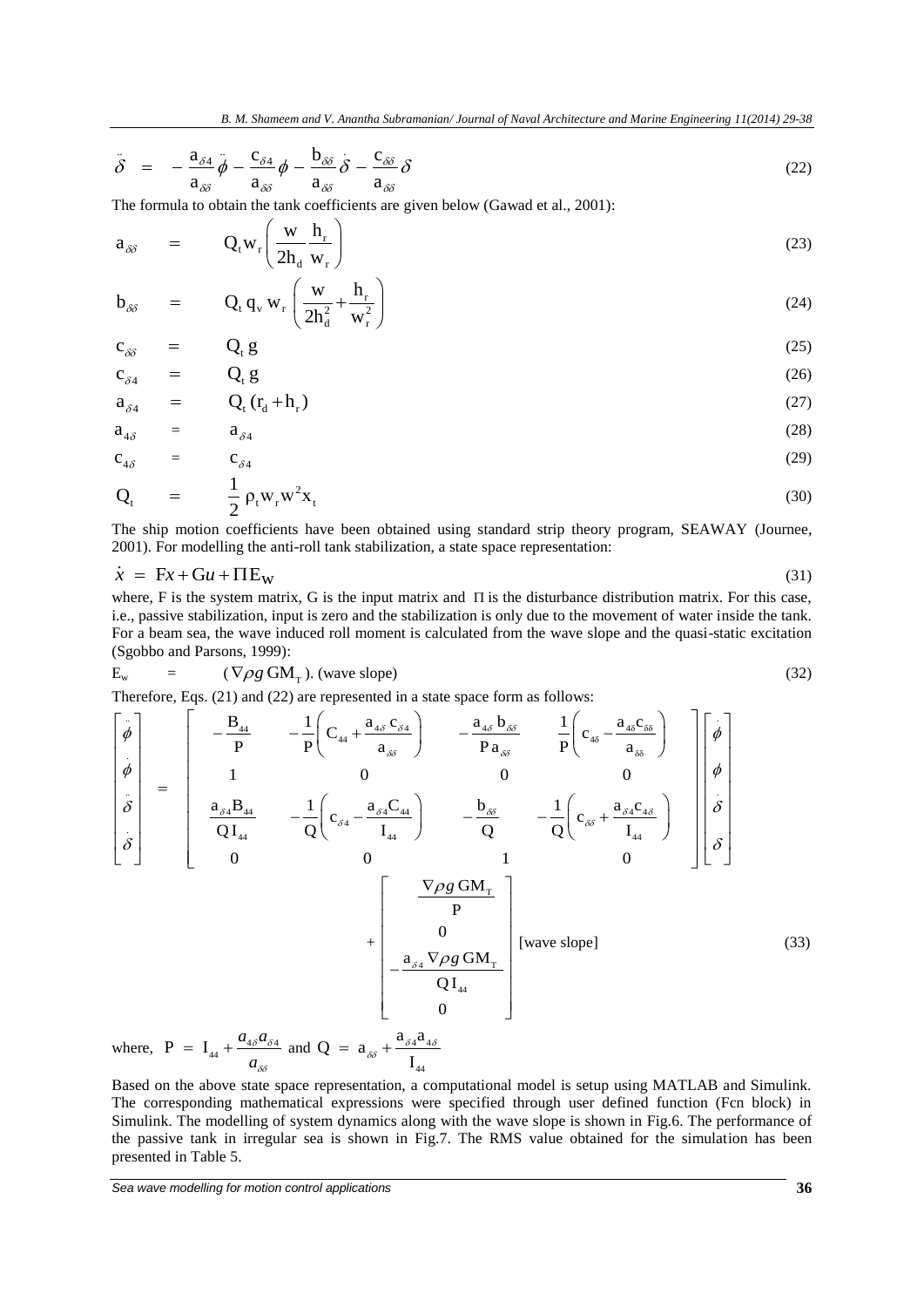$$
\delta = -\frac{a_{\delta 4}}{a_{\delta \delta}} \dot{\phi} - \frac{c_{\delta 4}}{a_{\delta \delta}} \dot{\phi} - \frac{b_{\delta \delta}}{a_{\delta \delta}} \dot{\delta} - \frac{c_{\delta \delta}}{a_{\delta \delta}} \delta
$$
(22)

The formula to obtain the tank coefficients are given below (Gawad et al., 2001):  
\n
$$
a_{\delta\delta} = Q_t w_r \left( \frac{w}{2h_d} \frac{h_r}{w_r} \right)
$$
\n(23)

$$
b_{\delta\delta} = Q_t q_v w_r \left(\frac{w}{2h_d^2} + \frac{h_r}{w_r^2}\right)
$$
 (24)

$$
c_{\delta\delta} = Q_t g
$$
  
\n
$$
c_{\delta 4} = Q_t g
$$
\n(25)

$$
a_{s4} = Q_{s4} \tag{27}
$$

$$
a_{4\delta} = a_{\delta 4} \tag{28}
$$

$$
c_{4\delta} = c_{\delta 4} \tag{29}
$$

$$
\mathbf{Q}_{t} = \frac{1}{2} \rho_{t} \mathbf{w}_{r} \mathbf{w}^{2} \mathbf{x}_{t} \tag{30}
$$

The ship motion coefficients have been obtained using standard strip theory program, SEAWAY (Journee, 2001). For modelling the anti-roll tank stabilization, a state space representation:

$$
\dot{x} = \text{F}x + \text{G}u + \text{IIE}_w \tag{31}
$$

where, F is the system matrix, G is the input matrix and  $\Pi$  is the disturbance distribution matrix. For this case, i.e., passive stabilization, input is zero and the stabilization is only due to the movement of water inside the tank. For a beam sea, the wave induced roll moment is calculated from the wave slope and the quasi-static excitation (Sgobbo and Parsons, 1999):

$$
E_w = (\nabla \rho g \text{ GM}_{\text{T}}). \text{ (wave slope)} \tag{32}
$$

(Sgobbo and Parsons, 1999):  
\nE<sub>w</sub> = (
$$
\nabla \rho g
$$
 GM<sub>T</sub>). (wave slope)  
\nTherefore, Eqs. (21) and (22) are represented in a state space form as follows:  
\n
$$
\begin{bmatrix}\n\dot{\phi} \\
\dot{\phi} \\
\dot{\phi} \\
\dot{\dot{\sigma}} \\
\dot{\dot{\sigma}}\n\end{bmatrix} = \begin{bmatrix}\nB_{44} & -\frac{1}{p} \left(C_{44} + \frac{a_{43} C_{54}}{a_{33}}\right) & -\frac{a_{43} b_{33}}{p_{43}} & \frac{1}{p} \left(C_{43} - \frac{a_{43} C_{38}}{a_{38}}\right) \\
1 & 0 & 0 & 0 \\
\frac{a_{34} B_{44}}{Q I_{44}} & -\frac{1}{Q} \left(C_{34} - \frac{a_{34} C_{44}}{I_{44}}\right) & -\frac{b_{35}}{Q} & -\frac{1}{Q} \left(C_{35} + \frac{a_{34} c_{45}}{I_{44}}\right) \\
0 & 0 & 1 & 0\n\end{bmatrix} \begin{bmatrix}\n\dot{\phi} \\
\dot{\phi} \\
\dot{\delta} \\
\dot{\delta}\n\end{bmatrix}
$$
\n
$$
+ \begin{bmatrix}\n\frac{\nabla \rho g \, GM_{T}}{p} \\
0 \\
0 \\
0 \\
0\n\end{bmatrix} [wave slope] (33)
$$

where,  $P = I_{44} + \frac{a_{4\delta}a_{\delta4}}{a_{4\delta}a_{\delta4}}$ *a*  $\delta^{\mathbf{u}}\delta^4$ δδ  $= \mathbf{I}_{44} + \frac{a_{4\delta}a_{\delta 4}}{4}$  and  $\mathbf{Q} = a_{\delta \delta} + \frac{a_{\delta 4}a_{4}}{4}$ 44  $Q = a_{ss} + \frac{a_{s4}a}{1}$ I  $= a_{\delta\delta} + \frac{a_{\delta 4}a_{4\delta}}{I}$ 

Based on the above state space representation, a computational model is setup using MATLAB and Simulink. The corresponding mathematical expressions were specified through user defined function (Fcn block) in Simulink. The modelling of system dynamics along with the wave slope is shown in [Fig.6](#page-8-0). The performance of the passive tank in irregular sea is shown in Fig.7. The RMS value obtained for the simulation has been presented in Table 5.

*Sea wave modelling for motion control applications* **36**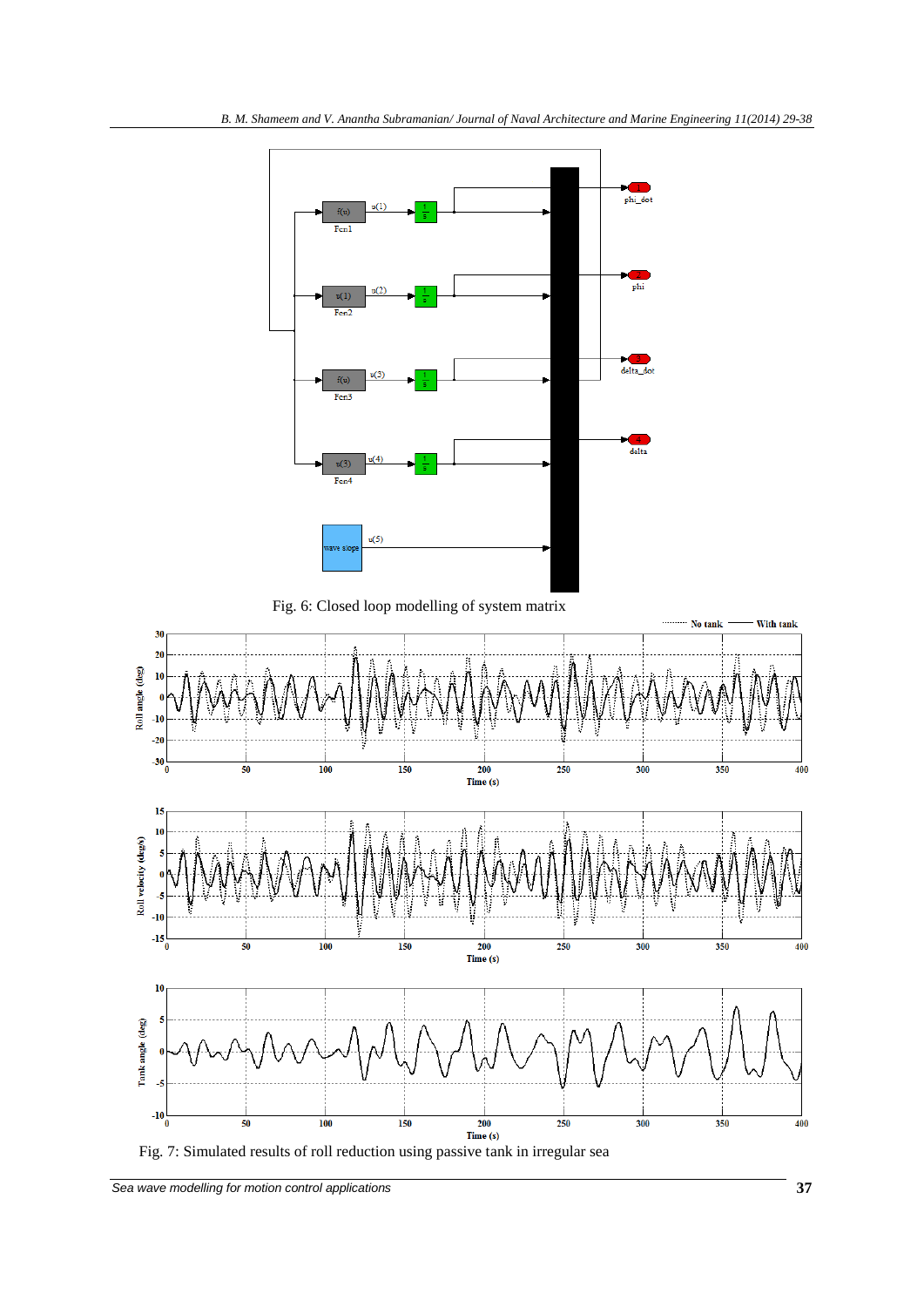

Fig. 6: Closed loop modelling of system matrix

<span id="page-8-0"></span>

Fig. 7: Simulated results of roll reduction using passive tank in irregular sea

**Sea wave modelling for motion control applications 37**